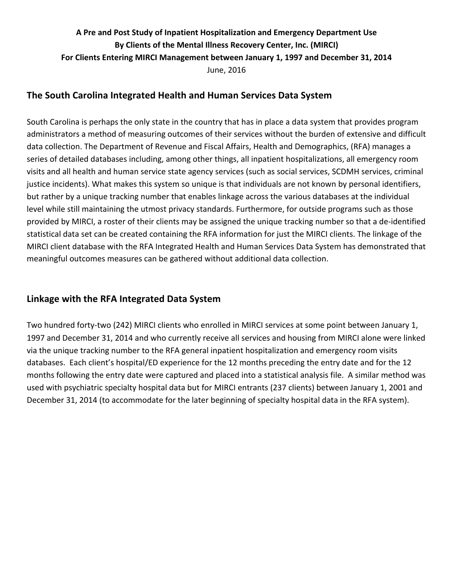# A Pre and Post Study of Inpatient Hospitalization and Emergency Department Use By Clients of the Mental Illness Recovery Center, Inc. (MIRCI) For Clients Entering MIRCI Management between January 1, 1997 and December 31, 2014 June, 2016

### **The South Carolina Integrated Health and Human Services Data System**

South Carolina is perhaps the only state in the country that has in place a data system that provides program administrators a method of measuring outcomes of their services without the burden of extensive and difficult data collection. The Department of Revenue and Fiscal Affairs, Health and Demographics, (RFA) manages a series of detailed databases including, among other things, all inpatient hospitalizations, all emergency room visits and all health and human service state agency services (such as social services, SCDMH services, criminal justice incidents). What makes this system so unique is that individuals are not known by personal identifiers, but rather by a unique tracking number that enables linkage across the various databases at the individual level while still maintaining the utmost privacy standards. Furthermore, for outside programs such as those provided by MIRCI, a roster of their clients may be assigned the unique tracking number so that a de-identified statistical data set can be created containing the RFA information for just the MIRCI clients. The linkage of the MIRCI client database with the RFA Integrated Health and Human Services Data System has demonstrated that meaningful outcomes measures can be gathered without additional data collection.

## **Linkage with the RFA Integrated Data System**

Two hundred forty-two (242) MIRCI clients who enrolled in MIRCI services at some point between January 1, 1997 and December 31, 2014 and who currently receive all services and housing from MIRCI alone were linked via the unique tracking number to the RFA general inpatient hospitalization and emergency room visits databases. Each client's hospital/ED experience for the 12 months preceding the entry date and for the 12 months following the entry date were captured and placed into a statistical analysis file. A similar method was used with psychiatric specialty hospital data but for MIRCI entrants (237 clients) between January 1, 2001 and December 31, 2014 (to accommodate for the later beginning of specialty hospital data in the RFA system).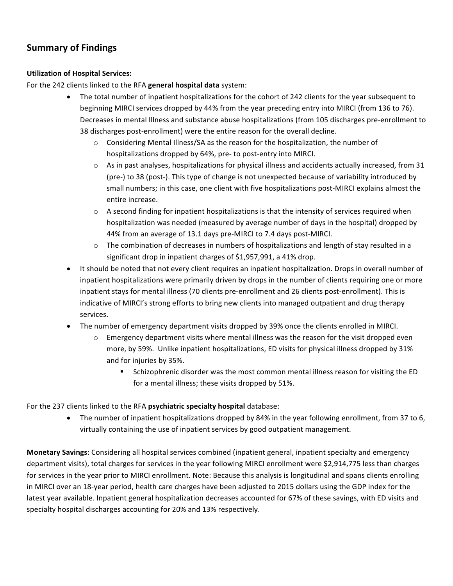# **Summary of Findings**

#### **Utilization of Hospital Services:**

For the 242 clients linked to the RFA general hospital data system:

- The total number of inpatient hospitalizations for the cohort of 242 clients for the year subsequent to beginning MIRCI services dropped by 44% from the year preceding entry into MIRCI (from 136 to 76). Decreases in mental Illness and substance abuse hospitalizations (from 105 discharges pre-enrollment to 38 discharges post-enrollment) were the entire reason for the overall decline.
	- $\circ$  Considering Mental Illness/SA as the reason for the hospitalization, the number of hospitalizations dropped by 64%, pre- to post-entry into MIRCI.
	- $\circ$  As in past analyses, hospitalizations for physical illness and accidents actually increased, from 31 (pre-) to 38 (post-). This type of change is not unexpected because of variability introduced by small numbers; in this case, one client with five hospitalizations post-MIRCI explains almost the entire increase.
	- $\circ$  A second finding for inpatient hospitalizations is that the intensity of services required when hospitalization was needed (measured by average number of days in the hospital) dropped by 44% from an average of 13.1 days pre-MIRCI to 7.4 days post-MIRCI.
	- $\circ$  The combination of decreases in numbers of hospitalizations and length of stay resulted in a significant drop in inpatient charges of \$1,957,991, a 41% drop.
- It should be noted that not every client requires an inpatient hospitalization. Drops in overall number of inpatient hospitalizations were primarily driven by drops in the number of clients requiring one or more inpatient stays for mental illness (70 clients pre-enrollment and 26 clients post-enrollment). This is indicative of MIRCI's strong efforts to bring new clients into managed outpatient and drug therapy services.
- The number of emergency department visits dropped by 39% once the clients enrolled in MIRCI.
	- Emergency department visits where mental illness was the reason for the visit dropped even more, by 59%. Unlike inpatient hospitalizations, ED visits for physical illness dropped by 31% and for injuries by 35%.
		- Schizophrenic disorder was the most common mental illness reason for visiting the ED for a mental illness; these visits dropped by 51%.

#### For the 237 clients linked to the RFA *psychiatric specialty hospital* database:

• The number of inpatient hospitalizations dropped by 84% in the year following enrollment, from 37 to 6, virtually containing the use of inpatient services by good outpatient management.

**Monetary Savings**: Considering all hospital services combined (inpatient general, inpatient specialty and emergency department visits), total charges for services in the year following MIRCI enrollment were \$2,914,775 less than charges for services in the year prior to MIRCI enrollment. Note: Because this analysis is longitudinal and spans clients enrolling in MIRCI over an 18-year period, health care charges have been adjusted to 2015 dollars using the GDP index for the latest year available. Inpatient general hospitalization decreases accounted for 67% of these savings, with ED visits and specialty hospital discharges accounting for 20% and 13% respectively.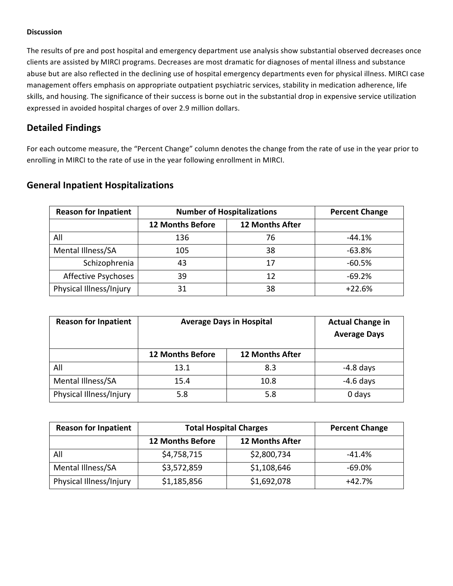#### **Discussion**

The results of pre and post hospital and emergency department use analysis show substantial observed decreases once clients are assisted by MIRCI programs. Decreases are most dramatic for diagnoses of mental illness and substance abuse but are also reflected in the declining use of hospital emergency departments even for physical illness. MIRCI case management offers emphasis on appropriate outpatient psychiatric services, stability in medication adherence, life skills, and housing. The significance of their success is borne out in the substantial drop in expensive service utilization expressed in avoided hospital charges of over 2.9 million dollars.

### **Detailed Findings**

For each outcome measure, the "Percent Change" column denotes the change from the rate of use in the year prior to enrolling in MIRCI to the rate of use in the year following enrollment in MIRCI.

| <b>Reason for Inpatient</b> | <b>Number of Hospitalizations</b> | <b>Percent Change</b>  |          |
|-----------------------------|-----------------------------------|------------------------|----------|
|                             | <b>12 Months Before</b>           | <b>12 Months After</b> |          |
| All                         | 136                               | 76                     | $-44.1%$ |
| Mental Illness/SA           | 105                               | 38                     | $-63.8%$ |
| Schizophrenia               | 43                                | 17                     | $-60.5%$ |
| <b>Affective Psychoses</b>  | 39                                | 12                     | $-69.2%$ |
| Physical Illness/Injury     | 31                                | 38                     | $+22.6%$ |

### **General Inpatient Hospitalizations**

| <b>Reason for Inpatient</b> | <b>Average Days in Hospital</b> | <b>Actual Change in</b><br><b>Average Days</b> |             |
|-----------------------------|---------------------------------|------------------------------------------------|-------------|
|                             | <b>12 Months Before</b>         | <b>12 Months After</b>                         |             |
| All                         | 13.1                            | 8.3                                            | $-4.8$ days |
| Mental Illness/SA           | 15.4                            | 10.8                                           | $-4.6$ days |
| Physical Illness/Injury     | 5.8                             | 5.8                                            | 0 days      |

| <b>Reason for Inpatient</b> | <b>Total Hospital Charges</b> | <b>Percent Change</b>  |          |
|-----------------------------|-------------------------------|------------------------|----------|
|                             | <b>12 Months Before</b>       | <b>12 Months After</b> |          |
| All                         | \$4,758,715                   | \$2,800,734            | $-41.4%$ |
| Mental Illness/SA           | \$3,572,859                   | \$1,108,646            | $-69.0%$ |
| Physical Illness/Injury     | \$1,185,856                   | \$1,692,078            | $+42.7%$ |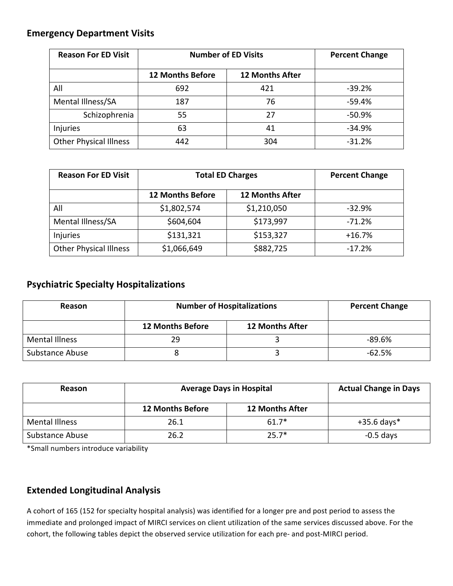# **Emergency Department Visits**

| <b>Reason For ED Visit</b>    | <b>Number of ED Visits</b> | <b>Percent Change</b>  |           |
|-------------------------------|----------------------------|------------------------|-----------|
|                               | <b>12 Months Before</b>    | <b>12 Months After</b> |           |
| All                           | 692                        | 421                    | $-39.2%$  |
| Mental Illness/SA             | 187                        | 76                     | $-59.4%$  |
| Schizophrenia                 | 55                         | 27                     | $-50.9\%$ |
| <b>Injuries</b>               | 63                         | 41                     | $-34.9%$  |
| <b>Other Physical Illness</b> | 442                        | 304                    | $-31.2%$  |

| <b>Reason For ED Visit</b>    | <b>Total ED Charges</b> | <b>Percent Change</b>  |          |
|-------------------------------|-------------------------|------------------------|----------|
|                               | <b>12 Months Before</b> | <b>12 Months After</b> |          |
| All                           | \$1,802,574             | \$1,210,050            | $-32.9%$ |
| Mental Illness/SA             | \$604,604               | \$173,997              | $-71.2%$ |
| Injuries                      | \$131,321               | \$153,327              | $+16.7%$ |
| <b>Other Physical Illness</b> | \$1,066,649             | \$882,725              | $-17.2%$ |

### **Psychiatric Specialty Hospitalizations**

| Reason                | <b>Number of Hospitalizations</b> | <b>Percent Change</b>  |          |
|-----------------------|-----------------------------------|------------------------|----------|
|                       | <b>12 Months Before</b>           | <b>12 Months After</b> |          |
| <b>Mental Illness</b> | 29                                |                        | $-89.6%$ |
| Substance Abuse       |                                   |                        | $-62.5%$ |

| Reason                 | <b>Average Days in Hospital</b> | <b>Actual Change in Days</b> |               |
|------------------------|---------------------------------|------------------------------|---------------|
|                        | <b>12 Months Before</b>         | <b>12 Months After</b>       |               |
| <b>Mental Illness</b>  | 26.1                            | $61.7*$                      | $+35.6$ days* |
| <b>Substance Abuse</b> | 26.2                            | $25.7*$                      | $-0.5$ days   |

\*Small numbers introduce variability

## **Extended Longitudinal Analysis**

A cohort of 165 (152 for specialty hospital analysis) was identified for a longer pre and post period to assess the immediate and prolonged impact of MIRCI services on client utilization of the same services discussed above. For the cohort, the following tables depict the observed service utilization for each pre- and post-MIRCI period.